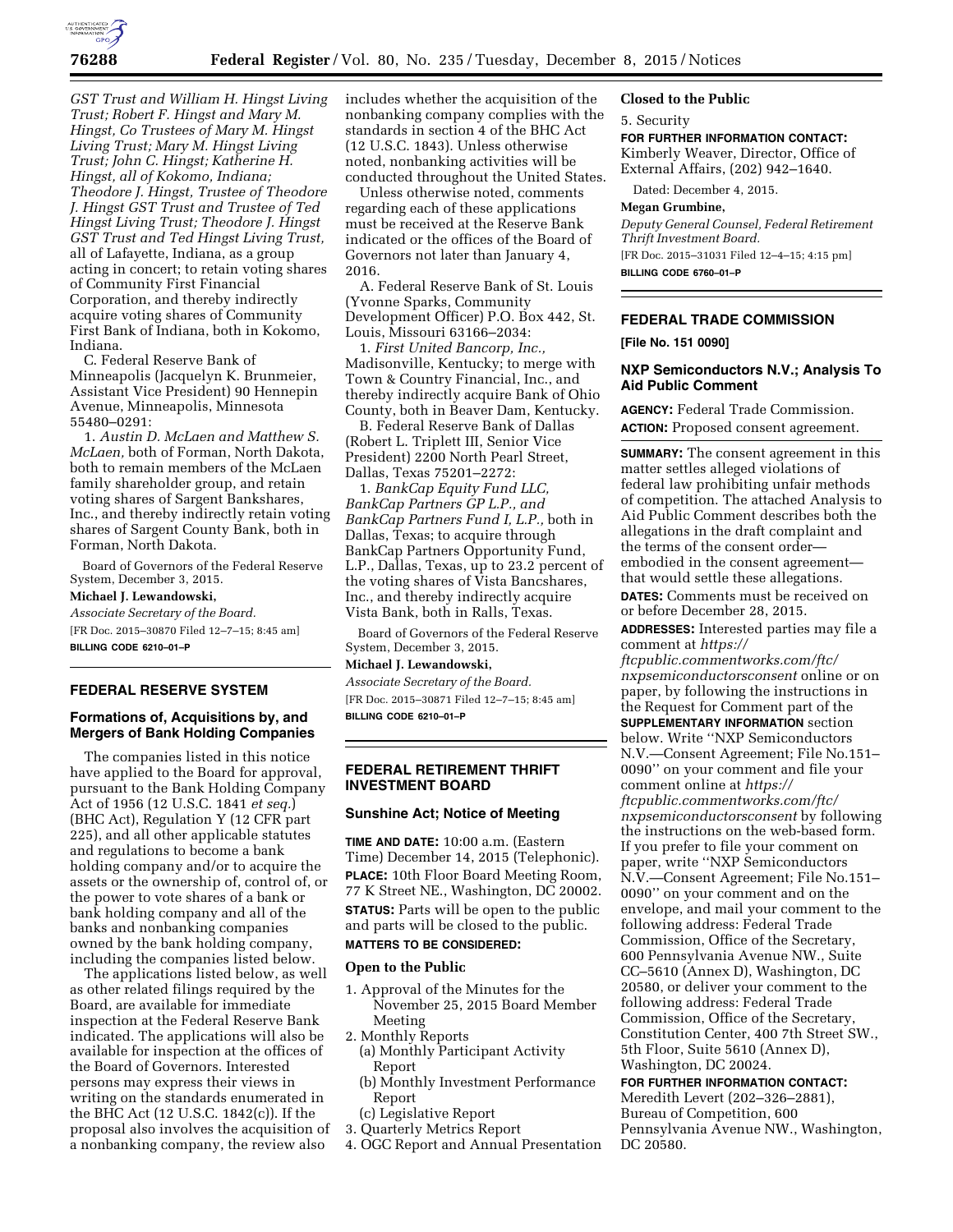

*GST Trust and William H. Hingst Living Trust; Robert F. Hingst and Mary M. Hingst, Co Trustees of Mary M. Hingst Living Trust; Mary M. Hingst Living Trust; John C. Hingst; Katherine H. Hingst, all of Kokomo, Indiana; Theodore J. Hingst, Trustee of Theodore J. Hingst GST Trust and Trustee of Ted Hingst Living Trust; Theodore J. Hingst GST Trust and Ted Hingst Living Trust,*  all of Lafayette, Indiana, as a group acting in concert; to retain voting shares of Community First Financial Corporation, and thereby indirectly acquire voting shares of Community First Bank of Indiana, both in Kokomo, Indiana.

C. Federal Reserve Bank of Minneapolis (Jacquelyn K. Brunmeier, Assistant Vice President) 90 Hennepin Avenue, Minneapolis, Minnesota 55480–0291:

1. *Austin D. McLaen and Matthew S. McLaen,* both of Forman, North Dakota, both to remain members of the McLaen family shareholder group, and retain voting shares of Sargent Bankshares, Inc., and thereby indirectly retain voting shares of Sargent County Bank, both in Forman, North Dakota.

Board of Governors of the Federal Reserve System, December 3, 2015.

**Michael J. Lewandowski,**  *Associate Secretary of the Board.*  [FR Doc. 2015–30870 Filed 12–7–15; 8:45 am] **BILLING CODE 6210–01–P** 

## **FEDERAL RESERVE SYSTEM**

## **Formations of, Acquisitions by, and Mergers of Bank Holding Companies**

The companies listed in this notice have applied to the Board for approval, pursuant to the Bank Holding Company Act of 1956 (12 U.S.C. 1841 *et seq.*) (BHC Act), Regulation Y (12 CFR part 225), and all other applicable statutes and regulations to become a bank holding company and/or to acquire the assets or the ownership of, control of, or the power to vote shares of a bank or bank holding company and all of the banks and nonbanking companies owned by the bank holding company, including the companies listed below.

The applications listed below, as well as other related filings required by the Board, are available for immediate inspection at the Federal Reserve Bank indicated. The applications will also be available for inspection at the offices of the Board of Governors. Interested persons may express their views in writing on the standards enumerated in the BHC Act (12 U.S.C. 1842(c)). If the proposal also involves the acquisition of a nonbanking company, the review also

includes whether the acquisition of the nonbanking company complies with the standards in section 4 of the BHC Act (12 U.S.C. 1843). Unless otherwise noted, nonbanking activities will be conducted throughout the United States.

Unless otherwise noted, comments regarding each of these applications must be received at the Reserve Bank indicated or the offices of the Board of Governors not later than January 4, 2016.

A. Federal Reserve Bank of St. Louis (Yvonne Sparks, Community Development Officer) P.O. Box 442, St. Louis, Missouri 63166–2034:

1. *First United Bancorp, Inc.,*  Madisonville, Kentucky; to merge with Town & Country Financial, Inc., and thereby indirectly acquire Bank of Ohio County, both in Beaver Dam, Kentucky.

B. Federal Reserve Bank of Dallas (Robert L. Triplett III, Senior Vice President) 2200 North Pearl Street, Dallas, Texas 75201–2272:

1. *BankCap Equity Fund LLC, BankCap Partners GP L.P., and BankCap Partners Fund I, L.P.,* both in Dallas, Texas; to acquire through BankCap Partners Opportunity Fund, L.P., Dallas, Texas, up to 23.2 percent of the voting shares of Vista Bancshares, Inc., and thereby indirectly acquire Vista Bank, both in Ralls, Texas.

Board of Governors of the Federal Reserve System, December 3, 2015.

**Michael J. Lewandowski,**  *Associate Secretary of the Board.* 

[FR Doc. 2015–30871 Filed 12–7–15; 8:45 am] **BILLING CODE 6210–01–P** 

## **FEDERAL RETIREMENT THRIFT INVESTMENT BOARD**

# **Sunshine Act; Notice of Meeting**

**TIME AND DATE:** 10:00 a.m. (Eastern Time) December 14, 2015 (Telephonic). **PLACE:** 10th Floor Board Meeting Room, 77 K Street NE., Washington, DC 20002. **STATUS:** Parts will be open to the public and parts will be closed to the public. **MATTERS TO BE CONSIDERED:** 

## **Open to the Public**

- 1. Approval of the Minutes for the November 25, 2015 Board Member Meeting
- 2. Monthly Reports (a) Monthly Participant Activity
	- Report
	- (b) Monthly Investment Performance Report
	- (c) Legislative Report
- 3. Quarterly Metrics Report
- 4. OGC Report and Annual Presentation

### **Closed to the Public**

#### 5. Security

**FOR FURTHER INFORMATION CONTACT:**  Kimberly Weaver, Director, Office of External Affairs, (202) 942–1640.

Dated: December 4, 2015.

#### **Megan Grumbine,**

*Deputy General Counsel, Federal Retirement Thrift Investment Board.*  [FR Doc. 2015–31031 Filed 12–4–15; 4:15 pm]

**BILLING CODE 6760–01–P** 

## **FEDERAL TRADE COMMISSION**

## **[File No. 151 0090]**

## **NXP Semiconductors N.V.; Analysis To Aid Public Comment**

**AGENCY:** Federal Trade Commission.

**ACTION:** Proposed consent agreement.

**SUMMARY:** The consent agreement in this matter settles alleged violations of federal law prohibiting unfair methods of competition. The attached Analysis to Aid Public Comment describes both the allegations in the draft complaint and the terms of the consent order embodied in the consent agreement that would settle these allegations.

**DATES:** Comments must be received on or before December 28, 2015.

**ADDRESSES:** Interested parties may file a comment at *[https://](https://ftcpublic.commentworks.com/ftc/nxpsemiconductorsconsent)*

*[ftcpublic.commentworks.com/ftc/](https://ftcpublic.commentworks.com/ftc/nxpsemiconductorsconsent) [nxpsemiconductorsconsent](https://ftcpublic.commentworks.com/ftc/nxpsemiconductorsconsent)* online or on paper, by following the instructions in the Request for Comment part of the **SUPPLEMENTARY INFORMATION** section below. Write ''NXP Semiconductors N.V.—Consent Agreement; File No.151– 0090'' on your comment and file your comment online at *[https://](https://ftcpublic.commentworks.com/ftc/nxpsemiconductorsconsent) [ftcpublic.commentworks.com/ftc/](https://ftcpublic.commentworks.com/ftc/nxpsemiconductorsconsent) [nxpsemiconductorsconsent](https://ftcpublic.commentworks.com/ftc/nxpsemiconductorsconsent)* by following the instructions on the web-based form. If you prefer to file your comment on paper, write ''NXP Semiconductors N.V.—Consent Agreement; File No.151– 0090'' on your comment and on the envelope, and mail your comment to the following address: Federal Trade Commission, Office of the Secretary, 600 Pennsylvania Avenue NW., Suite CC–5610 (Annex D), Washington, DC 20580, or deliver your comment to the following address: Federal Trade Commission, Office of the Secretary, Constitution Center, 400 7th Street SW., 5th Floor, Suite 5610 (Annex D), Washington, DC 20024.

**FOR FURTHER INFORMATION CONTACT:** 

Meredith Levert (202–326–2881), Bureau of Competition, 600 Pennsylvania Avenue NW., Washington, DC 20580.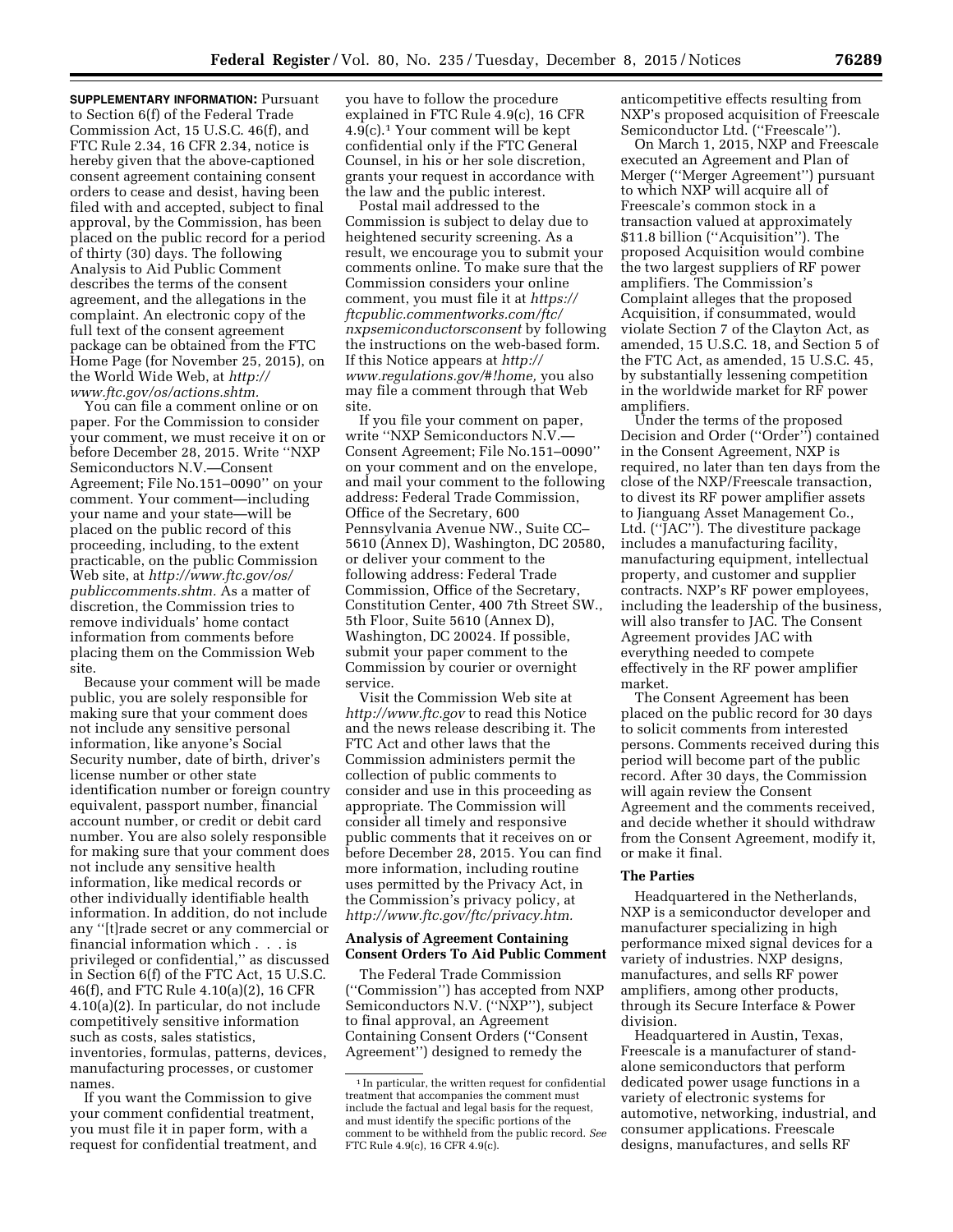**SUPPLEMENTARY INFORMATION:** Pursuant to Section 6(f) of the Federal Trade Commission Act, 15 U.S.C. 46(f), and FTC Rule 2.34, 16 CFR 2.34, notice is hereby given that the above-captioned consent agreement containing consent orders to cease and desist, having been filed with and accepted, subject to final approval, by the Commission, has been placed on the public record for a period of thirty (30) days. The following Analysis to Aid Public Comment describes the terms of the consent agreement, and the allegations in the complaint. An electronic copy of the full text of the consent agreement package can be obtained from the FTC Home Page (for November 25, 2015), on the World Wide Web, at *[http://](http://www.ftc.gov/os/actions.shtm) [www.ftc.gov/os/actions.shtm.](http://www.ftc.gov/os/actions.shtm)* 

You can file a comment online or on paper. For the Commission to consider your comment, we must receive it on or before December 28, 2015. Write ''NXP Semiconductors N.V.—Consent Agreement; File No.151–0090'' on your comment. Your comment—including your name and your state—will be placed on the public record of this proceeding, including, to the extent practicable, on the public Commission Web site, at *[http://www.ftc.gov/os/](http://www.ftc.gov/os/publiccomments.shtm) [publiccomments.shtm.](http://www.ftc.gov/os/publiccomments.shtm)* As a matter of discretion, the Commission tries to remove individuals' home contact information from comments before placing them on the Commission Web site.

Because your comment will be made public, you are solely responsible for making sure that your comment does not include any sensitive personal information, like anyone's Social Security number, date of birth, driver's license number or other state identification number or foreign country equivalent, passport number, financial account number, or credit or debit card number. You are also solely responsible for making sure that your comment does not include any sensitive health information, like medical records or other individually identifiable health information. In addition, do not include any ''[t]rade secret or any commercial or financial information which . . . is privileged or confidential,'' as discussed in Section 6(f) of the FTC Act, 15 U.S.C. 46(f), and FTC Rule 4.10(a)(2), 16 CFR 4.10(a)(2). In particular, do not include competitively sensitive information such as costs, sales statistics, inventories, formulas, patterns, devices, manufacturing processes, or customer names.

If you want the Commission to give your comment confidential treatment, you must file it in paper form, with a request for confidential treatment, and

you have to follow the procedure explained in FTC Rule 4.9(c), 16 CFR 4.9(c).1 Your comment will be kept confidential only if the FTC General Counsel, in his or her sole discretion, grants your request in accordance with the law and the public interest.

Postal mail addressed to the Commission is subject to delay due to heightened security screening. As a result, we encourage you to submit your comments online. To make sure that the Commission considers your online comment, you must file it at *[https://](https://ftcpublic.commentworks.com/ftc/nxpsemiconductorsconsent) [ftcpublic.commentworks.com/ftc/](https://ftcpublic.commentworks.com/ftc/nxpsemiconductorsconsent) [nxpsemiconductorsconsent](https://ftcpublic.commentworks.com/ftc/nxpsemiconductorsconsent)* by following the instructions on the web-based form. If this Notice appears at *[http://](http://www.regulations.gov/#!home) [www.regulations.gov/#!home,](http://www.regulations.gov/#!home)* you also may file a comment through that Web site.

If you file your comment on paper, write ''NXP Semiconductors N.V.— Consent Agreement; File No.151–0090'' on your comment and on the envelope, and mail your comment to the following address: Federal Trade Commission, Office of the Secretary, 600 Pennsylvania Avenue NW., Suite CC– 5610 (Annex D), Washington, DC 20580, or deliver your comment to the following address: Federal Trade Commission, Office of the Secretary, Constitution Center, 400 7th Street SW., 5th Floor, Suite 5610 (Annex D), Washington, DC 20024. If possible, submit your paper comment to the Commission by courier or overnight service.

Visit the Commission Web site at *<http://www.ftc.gov>*to read this Notice and the news release describing it. The FTC Act and other laws that the Commission administers permit the collection of public comments to consider and use in this proceeding as appropriate. The Commission will consider all timely and responsive public comments that it receives on or before December 28, 2015. You can find more information, including routine uses permitted by the Privacy Act, in the Commission's privacy policy, at *[http://www.ftc.gov/ftc/privacy.htm.](http://www.ftc.gov/ftc/privacy.htm)* 

## **Analysis of Agreement Containing Consent Orders To Aid Public Comment**

The Federal Trade Commission (''Commission'') has accepted from NXP Semiconductors N.V. (''NXP''), subject to final approval, an Agreement Containing Consent Orders (''Consent Agreement'') designed to remedy the

anticompetitive effects resulting from NXP's proposed acquisition of Freescale Semiconductor Ltd. (''Freescale'').

On March 1, 2015, NXP and Freescale executed an Agreement and Plan of Merger (''Merger Agreement'') pursuant to which NXP will acquire all of Freescale's common stock in a transaction valued at approximately \$11.8 billion (''Acquisition''). The proposed Acquisition would combine the two largest suppliers of RF power amplifiers. The Commission's Complaint alleges that the proposed Acquisition, if consummated, would violate Section 7 of the Clayton Act, as amended, 15 U.S.C. 18, and Section 5 of the FTC Act, as amended, 15 U.S.C. 45, by substantially lessening competition in the worldwide market for RF power amplifiers.

Under the terms of the proposed Decision and Order (''Order'') contained in the Consent Agreement, NXP is required, no later than ten days from the close of the NXP/Freescale transaction, to divest its RF power amplifier assets to Jianguang Asset Management Co., Ltd. (''JAC''). The divestiture package includes a manufacturing facility, manufacturing equipment, intellectual property, and customer and supplier contracts. NXP's RF power employees, including the leadership of the business, will also transfer to JAC. The Consent Agreement provides JAC with everything needed to compete effectively in the RF power amplifier market.

The Consent Agreement has been placed on the public record for 30 days to solicit comments from interested persons. Comments received during this period will become part of the public record. After 30 days, the Commission will again review the Consent Agreement and the comments received, and decide whether it should withdraw from the Consent Agreement, modify it, or make it final.

#### **The Parties**

Headquartered in the Netherlands, NXP is a semiconductor developer and manufacturer specializing in high performance mixed signal devices for a variety of industries. NXP designs, manufactures, and sells RF power amplifiers, among other products, through its Secure Interface & Power division.

Headquartered in Austin, Texas, Freescale is a manufacturer of standalone semiconductors that perform dedicated power usage functions in a variety of electronic systems for automotive, networking, industrial, and consumer applications. Freescale designs, manufactures, and sells RF

<sup>&</sup>lt;sup>1</sup> In particular, the written request for confidential treatment that accompanies the comment must include the factual and legal basis for the request, and must identify the specific portions of the comment to be withheld from the public record. *See*  FTC Rule 4.9(c), 16 CFR 4.9(c).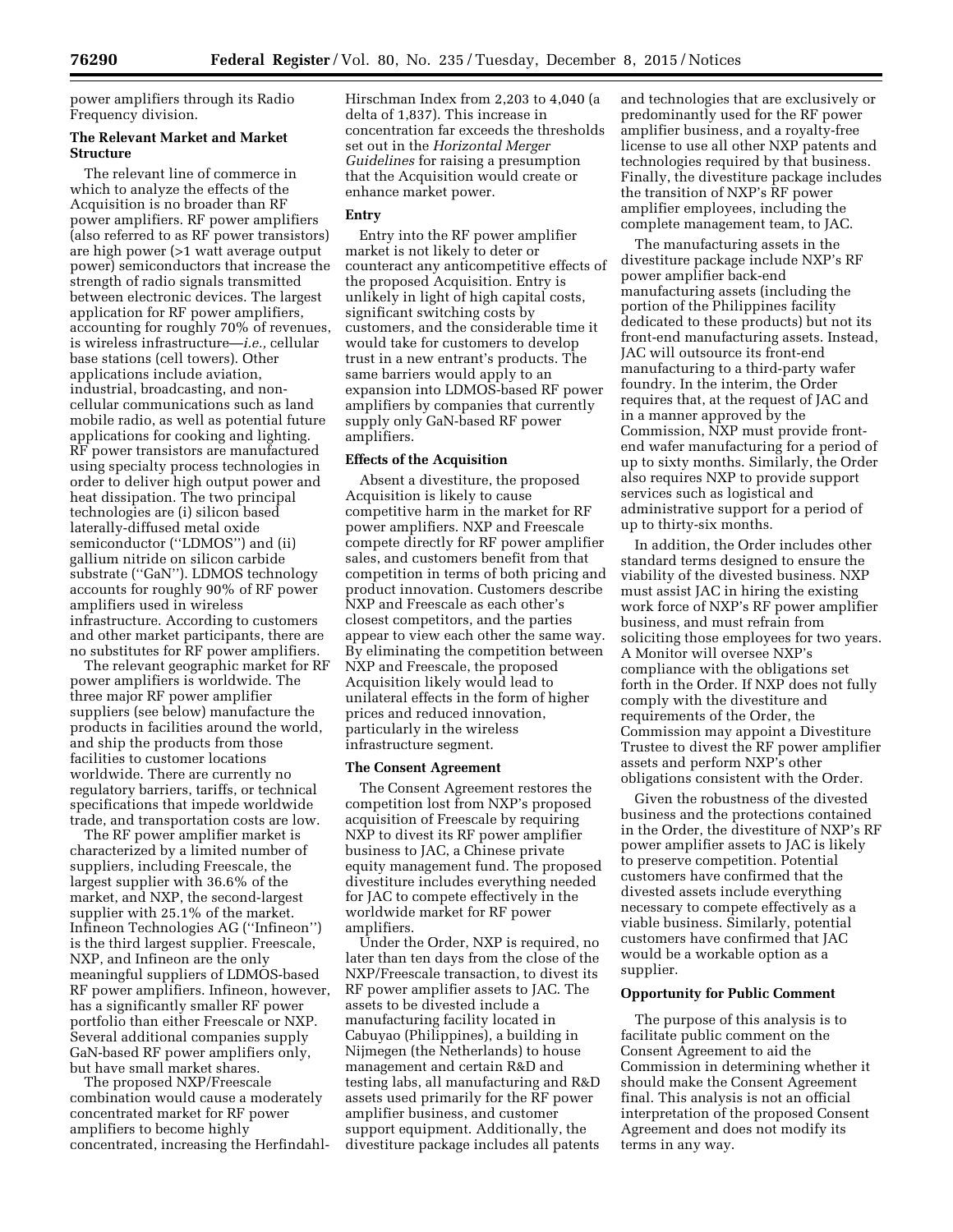power amplifiers through its Radio Frequency division.

#### **The Relevant Market and Market Structure**

The relevant line of commerce in which to analyze the effects of the Acquisition is no broader than RF power amplifiers. RF power amplifiers (also referred to as RF power transistors) are high power (>1 watt average output power) semiconductors that increase the strength of radio signals transmitted between electronic devices. The largest application for RF power amplifiers, accounting for roughly 70% of revenues, is wireless infrastructure—*i.e.,* cellular base stations (cell towers). Other applications include aviation, industrial, broadcasting, and noncellular communications such as land mobile radio, as well as potential future applications for cooking and lighting. RF power transistors are manufactured using specialty process technologies in order to deliver high output power and heat dissipation. The two principal technologies are (i) silicon based laterally-diffused metal oxide semiconductor (''LDMOS'') and (ii) gallium nitride on silicon carbide substrate ("GaN"). LDMOS technology accounts for roughly 90% of RF power amplifiers used in wireless infrastructure. According to customers and other market participants, there are no substitutes for RF power amplifiers.

The relevant geographic market for RF power amplifiers is worldwide. The three major RF power amplifier suppliers (see below) manufacture the products in facilities around the world, and ship the products from those facilities to customer locations worldwide. There are currently no regulatory barriers, tariffs, or technical specifications that impede worldwide trade, and transportation costs are low.

The RF power amplifier market is characterized by a limited number of suppliers, including Freescale, the largest supplier with 36.6% of the market, and NXP, the second-largest supplier with 25.1% of the market. Infineon Technologies AG (''Infineon'') is the third largest supplier. Freescale, NXP, and Infineon are the only meaningful suppliers of LDMOS-based RF power amplifiers. Infineon, however, has a significantly smaller RF power portfolio than either Freescale or NXP. Several additional companies supply GaN-based RF power amplifiers only, but have small market shares.

The proposed NXP/Freescale combination would cause a moderately concentrated market for RF power amplifiers to become highly concentrated, increasing the HerfindahlHirschman Index from 2,203 to 4,040 (a delta of 1,837). This increase in concentration far exceeds the thresholds set out in the *Horizontal Merger Guidelines* for raising a presumption that the Acquisition would create or enhance market power.

## **Entry**

Entry into the RF power amplifier market is not likely to deter or counteract any anticompetitive effects of the proposed Acquisition. Entry is unlikely in light of high capital costs, significant switching costs by customers, and the considerable time it would take for customers to develop trust in a new entrant's products. The same barriers would apply to an expansion into LDMOS-based RF power amplifiers by companies that currently supply only GaN-based RF power amplifiers.

## **Effects of the Acquisition**

Absent a divestiture, the proposed Acquisition is likely to cause competitive harm in the market for RF power amplifiers. NXP and Freescale compete directly for RF power amplifier sales, and customers benefit from that competition in terms of both pricing and product innovation. Customers describe NXP and Freescale as each other's closest competitors, and the parties appear to view each other the same way. By eliminating the competition between NXP and Freescale, the proposed Acquisition likely would lead to unilateral effects in the form of higher prices and reduced innovation, particularly in the wireless infrastructure segment.

#### **The Consent Agreement**

The Consent Agreement restores the competition lost from NXP's proposed acquisition of Freescale by requiring NXP to divest its RF power amplifier business to JAC, a Chinese private equity management fund. The proposed divestiture includes everything needed for JAC to compete effectively in the worldwide market for RF power amplifiers.

Under the Order, NXP is required, no later than ten days from the close of the NXP/Freescale transaction, to divest its RF power amplifier assets to JAC. The assets to be divested include a manufacturing facility located in Cabuyao (Philippines), a building in Nijmegen (the Netherlands) to house management and certain R&D and testing labs, all manufacturing and R&D assets used primarily for the RF power amplifier business, and customer support equipment. Additionally, the divestiture package includes all patents

and technologies that are exclusively or predominantly used for the RF power amplifier business, and a royalty-free license to use all other NXP patents and technologies required by that business. Finally, the divestiture package includes the transition of NXP's RF power amplifier employees, including the complete management team, to JAC.

The manufacturing assets in the divestiture package include NXP's RF power amplifier back-end manufacturing assets (including the portion of the Philippines facility dedicated to these products) but not its front-end manufacturing assets. Instead, JAC will outsource its front-end manufacturing to a third-party wafer foundry. In the interim, the Order requires that, at the request of JAC and in a manner approved by the Commission, NXP must provide frontend wafer manufacturing for a period of up to sixty months. Similarly, the Order also requires NXP to provide support services such as logistical and administrative support for a period of up to thirty-six months.

In addition, the Order includes other standard terms designed to ensure the viability of the divested business. NXP must assist JAC in hiring the existing work force of NXP's RF power amplifier business, and must refrain from soliciting those employees for two years. A Monitor will oversee NXP's compliance with the obligations set forth in the Order. If NXP does not fully comply with the divestiture and requirements of the Order, the Commission may appoint a Divestiture Trustee to divest the RF power amplifier assets and perform NXP's other obligations consistent with the Order.

Given the robustness of the divested business and the protections contained in the Order, the divestiture of NXP's RF power amplifier assets to JAC is likely to preserve competition. Potential customers have confirmed that the divested assets include everything necessary to compete effectively as a viable business. Similarly, potential customers have confirmed that JAC would be a workable option as a supplier.

## **Opportunity for Public Comment**

The purpose of this analysis is to facilitate public comment on the Consent Agreement to aid the Commission in determining whether it should make the Consent Agreement final. This analysis is not an official interpretation of the proposed Consent Agreement and does not modify its terms in any way.